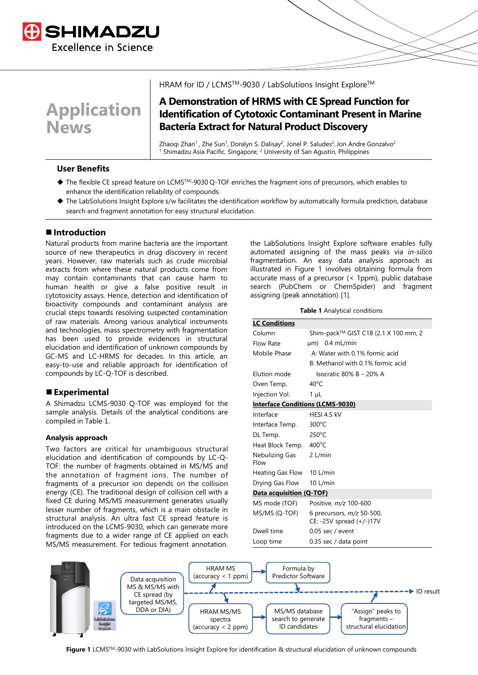

# **Application News**

### HRAM for ID / LCMS™-9030 / LabSolutions Insight Explore™

# **A Demonstration of HRMS with CE Spread Function for Identification of Cytotoxic Contaminant Present in Marine Bacteria Extract for Natural Product Discovery**

Zhaogi Zhan<sup>1</sup>, Zhe Sun<sup>1</sup>, Doralyn S. Dalisay<sup>2</sup>, Jonel P. Saludes<sup>2</sup>, Jon Andre Gonzalvo<sup>2</sup> <sup>1</sup> Shimadzu Asia Pacific, Singapore; <sup>2</sup> University of San Agustin, Philippines

### **User Benefits**

- ◆ The flexible CE spread feature on LCMSTM-9030 Q-TOF enriches the fragment ions of precursors, which enables to enhance the identification reliability of compounds.
- ◆ The LabSolutions Insight Explore s/w facilitates the identification workflow by automatically formula prediction, database search and fragment annotation for easy structural elucidation.

### ■ Introduction

Natural products from marine bacteria are the important source of new therapeutics in drug discovery in recent years. However, raw materials such as crude microbial extracts from where these natural products come from may contain contaminants that can cause harm to human health or give a false positive result in cytotoxicity assays. Hence, detection and identification of bioactivity compounds and contaminant analysis are crucial steps towards resolving suspected contamination of raw materials. Among various analytical instruments and technologies, mass spectrometry with fragmentation has been used to provide evidences in structural elucidation and identification of unknown compounds by GC-MS and LC-HRMS for decades. In this article, an easy-to-use and reliable approach for identification of compounds by LC-Q-TOF is described.

### ■ **Experimental**

A Shimadzu LCMS-9030 Q-TOF was employed for the sample analysis. Details of the analytical conditions are compiled in Table 1.

### **Analysis approach**

Two factors are critical for unambiguous structural elucidation and identification of compounds by LC-Q-TOF: the number of fragments obtained in MS/MS and the annotation of fragment ions. The number of fragments of a precursor ion depends on the collision energy (CE). The traditional design of collision cell with a fixed CE during MS/MS measurement generates usually lesser number of fragments, which is a main obstacle in structural analysis. An ultra fast CE spread feature is introduced on the LCMS-9030, which can generate more fragments due to a wider range of CE applied on each MS/MS measurement. For tedious fragment annotation. the LabSolutions Insight Explore software enables fully automated assigning of the mass peaks via *in-silico* fragmentation. An easy data analysis approach as illustrated in Figure 1 involves obtaining formula from accurate mass of a precursor (< 1ppm), public database search (PubChem or ChemSpider) and fragment assigning (peak annotation) [1].

#### **Table 1** Analytical conditions

| <b>LC Conditions</b>                    |                                                         |  |  |  |  |  |
|-----------------------------------------|---------------------------------------------------------|--|--|--|--|--|
| Column                                  | Shim-pack™ GIST C18 (2.1 X 100 mm, 2                    |  |  |  |  |  |
| Flow Rate                               | $µm)$ 0.4 mL/min                                        |  |  |  |  |  |
| Mobile Phase                            | A: Water with 0.1% formic acid                          |  |  |  |  |  |
|                                         | B: Methanol with 0.1% formic acid                       |  |  |  |  |  |
| Elution mode                            | Isocratic 80% B - 20% A                                 |  |  |  |  |  |
| Oven Temp.                              | $40^{\circ}$ C                                          |  |  |  |  |  |
| Injection Vol.                          | $1 \mu L$                                               |  |  |  |  |  |
| <b>Interface Conditions (LCMS-9030)</b> |                                                         |  |  |  |  |  |
| Interface                               | HESI 4.5 kV                                             |  |  |  |  |  |
| Interface Temp.                         | $300^{\circ}$ C                                         |  |  |  |  |  |
| DL Temp.                                | $250^{\circ}$ C                                         |  |  |  |  |  |
| Heat Block Temp.                        | $400^{\circ}$ C                                         |  |  |  |  |  |
| Nebulizing Gas<br>Flow                  | 2 L/min                                                 |  |  |  |  |  |
| Heating Gas Flow                        | $10$ L/min                                              |  |  |  |  |  |
| Drying Gas Flow                         | $10$ L/min                                              |  |  |  |  |  |
| Data acquisition (Q-TOF)                |                                                         |  |  |  |  |  |
| MS mode (TOF)                           | Positive, m/z 100-600                                   |  |  |  |  |  |
| MS/MS (Q-TOF)                           | 6 precursors, $m/z$ 50-500,<br>CE: -25V spread (+/-)17V |  |  |  |  |  |
| Dwell time                              | $0.05$ sec / event                                      |  |  |  |  |  |
| Loop time                               | 0.35 sec / data point                                   |  |  |  |  |  |

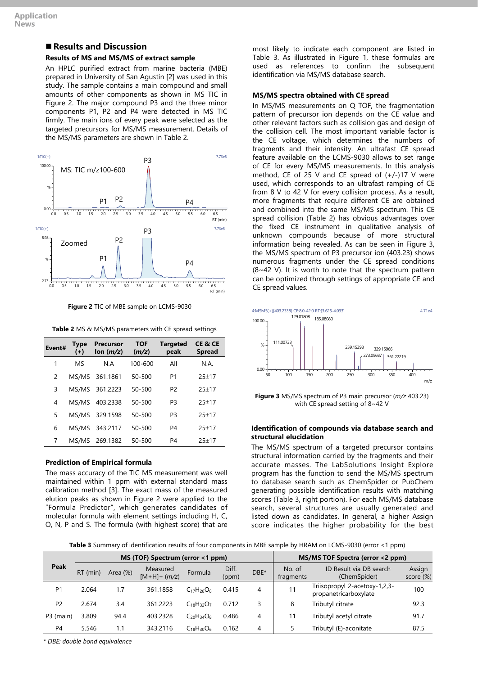# ■ **Results** and **Discussion**

## **Results of MS and MS/MS of extract sample**

An HPLC purified extract from marine bacteria (MBE) prepared in University of San Agustin [2] was used in this study. The sample contains a main compound and small amounts of other components as shown in MS TIC in Figure 2. The major compound P3 and the three minor components P1, P2 and P4 were detected in MS TIC firmly. The main ions of every peak were selected as the targeted precursors for MS/MS measurement. Details of the MS/MS parameters are shown in Table 2.





|  | <b>Table 2</b> MS & MS/MS parameters with CE spread settings |  |
|--|--------------------------------------------------------------|--|
|  |                                                              |  |

| Event# | Type<br>$(+)$  | <b>Precursor</b><br>lon $(m/z)$ | <b>TOF</b><br>(m/z) | <b>Targeted</b><br>peak | CE & CE<br><b>Spread</b> |
|--------|----------------|---------------------------------|---------------------|-------------------------|--------------------------|
| 1      | M <sub>S</sub> | N A                             | 100-600             | All                     | N.A.                     |
| 2      |                | MS/MS 361.1861                  | 50-500              | P1                      | $25+17$                  |
| 3      | MS/MS          | 361.2223                        | 50-500              | P <sub>2</sub>          | $25 + 17$                |
| 4      | MS/MS          | 403.2338                        | 50-500              | P <sub>3</sub>          | $25 + 17$                |
| 5      |                | MS/MS 329.1598                  | 50-500              | P <sub>3</sub>          | $25+17$                  |
| 6      |                | MS/MS 343.2117                  | 50-500              | P4                      | $25 + 17$                |
| 7      |                | MS/MS 269.1382                  | 50-500              | P4                      | $25+17$                  |

### **Prediction of Empirical formula**

The mass accuracy of the TIC MS measurement was well maintained within 1 ppm with external standard mass calibration method [3]. The exact mass of the measured elution peaks as shown in Figure 2 were applied to the "Formula Predictor", which generates candidates of molecular formula with element settings including H, C, O, N, P and S. The formula (with highest score) that are most likely to indicate each component are listed in Table 3. As illustrated in Figure 1, these formulas are used as references to confirm the subsequent identification via MS/MS database search.

### **MS/MS spectra obtained with CE spread**

In MS/MS measurements on Q-TOF, the fragmentation pattern of precursor ion depends on the CE value and other relevant factors such as collision gas and design of the collision cell. The most important variable factor is the CE voltage, which determines the numbers of fragments and their intensity. An ultrafast CE spread feature available on the LCMS-9030 allows to set range of CE for every MS/MS measurements. In this analysis method, CE of 25 V and CE spread of  $(+/-)17$  V were used, which corresponds to an ultrafast ramping of CE from 8 V to 42 V for every collision process. As a result, more fragments that require different CE are obtained and combined into the same MS/MS spectrum. This CE spread collision (Table 2) has obvious advantages over the fixed CE instrument in qualitative analysis of unknown compounds because of more structural information being revealed. As can be seen in Figure 3, the MS/MS spectrum of P3 precursor ion (403.23) shows numerous fragments under the CE spread conditions (8~42 V). It is worth to note that the spectrum pattern can be optimized through settings of appropriate CE and CE spread values.



**Figure 3** MS/MS spectrum of P3 main precursor (*m/z* 403.23) with CE spread setting of 8~42 V

### **Identification of compounds via database search and structural elucidation**

The MS/MS spectrum of a targeted precursor contains structural information carried by the fragments and their accurate masses. The LabSolutions Insight Explore program has the function to send the MS/MS spectrum to database search such as ChemSpider or PubChem generating possible identification results with matching scores (Table 3, right portion). For each MS/MS database search, several structures are usually generated and listed down as candidates. In general, a higher Assign score indicates the higher probability for the best

**Table 3** Summary of identification results of four components in MBE sample by HRAM on LCMS-9030 (error <1 ppm)

|                | MS (TOF) Spectrum (error <1 ppm) |             |                            |                   |                | MS/MS TOF Spectra (error <2 ppm) |                     |                                                        |                     |
|----------------|----------------------------------|-------------|----------------------------|-------------------|----------------|----------------------------------|---------------------|--------------------------------------------------------|---------------------|
| Peak           | $RT$ (min)                       | Area $(\%)$ | Measured<br>$[M+H]+ (m/z)$ | Formula           | Diff.<br>(ppm) | DBE*                             | No. of<br>fragments | ID Result via DB search<br>(ChemSpider)                | Assign<br>score (%) |
| P <sub>1</sub> | 2.064                            | 1.7         | 361.1858                   | $C_{17}H_{28}O_8$ | 0.415          | 4                                | 11                  | -Triisopropyl 2-acetoxy-1,2,3<br>propanetricarboxylate | 100                 |
| P <sub>2</sub> | 2.674                            | 3.4         | 361.2223                   | $C_{18}H_{32}O_7$ | 0.712          | 3                                | 8                   | Tributyl citrate                                       | 92.3                |
| P3 (main)      | 3.809                            | 94.4        | 403.2328                   | $C_{20}H_{34}O_8$ | 0.486          | 4                                | 11                  | Tributyl acetyl citrate                                | 91.7                |
| P <sub>4</sub> | 5.546                            | 1.1         | 343.2116                   | $C_{18}H_{30}O_6$ | 0.162          | 4                                |                     | Tributyl (E)-aconitate                                 | 87.5                |

*\* DBE: double bond equivalence*